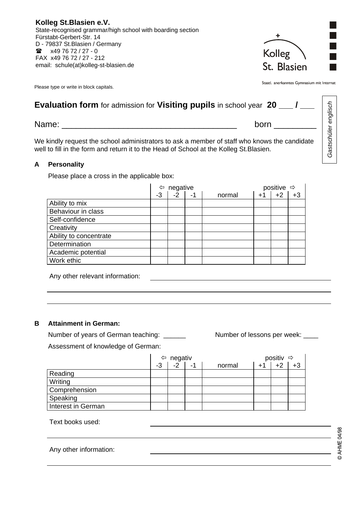**Kolleg St.Blasien e.V.**  State-recognised grammar/high school with boarding section Fürstabt-Gerbert-Str. 14 D - 79837 St.Blasien / Germany  $\bullet$  x49 76 72 / 27 - 0 FAX x49 76 72 / 27 - 212 email: schule(at)kolleg-st-blasien.de

Please type or write in block capitals.

Staatl. anerkanntes Gymnasium mit Internat

Kolleg

St. Blasien

| <b>Evaluation form</b> for admission for <b>Visiting pupils</b> in school year 20 ___ / ___                                                                                             | englisch           |  |  |  |
|-----------------------------------------------------------------------------------------------------------------------------------------------------------------------------------------|--------------------|--|--|--|
| Name:<br>born                                                                                                                                                                           | <b>Gastschüler</b> |  |  |  |
| We kindly request the school administrators to ask a member of staff who knows the candidate<br>well to fill in the form and return it to the Head of School at the Kolleg St. Blasien. |                    |  |  |  |

## **A Personality**

Please place a cross in the applicable box:

|                        | negative<br>⇦ |      |    | positive $\Rightarrow$ |      |      |      |
|------------------------|---------------|------|----|------------------------|------|------|------|
|                        | -3            | $-2$ | -1 | normal                 | $+1$ | $+2$ | $+3$ |
| Ability to mix         |               |      |    |                        |      |      |      |
| Behaviour in class     |               |      |    |                        |      |      |      |
| Self-confidence        |               |      |    |                        |      |      |      |
| <b>Creativity</b>      |               |      |    |                        |      |      |      |
| Ability to concentrate |               |      |    |                        |      |      |      |
| <b>Determination</b>   |               |      |    |                        |      |      |      |
| Academic potential     |               |      |    |                        |      |      |      |
| Work ethic             |               |      |    |                        |      |      |      |

Any other relevant information:

## **B Attainment in German:**

Number of years of German teaching: \_\_\_\_\_\_ Number of lessons per week: \_\_\_\_ Assessment of knowledge of German:

 $\Leftrightarrow$  negativ  $\Rightarrow$  positiv  $\Rightarrow$  $-3$   $-2$   $-1$  normal  $+1$   $+2$   $+3$ Reading **Writing** Comprehension Speaking Interest in German

Text books used:

| Any other information: |  |  |  |  |
|------------------------|--|--|--|--|
|------------------------|--|--|--|--|